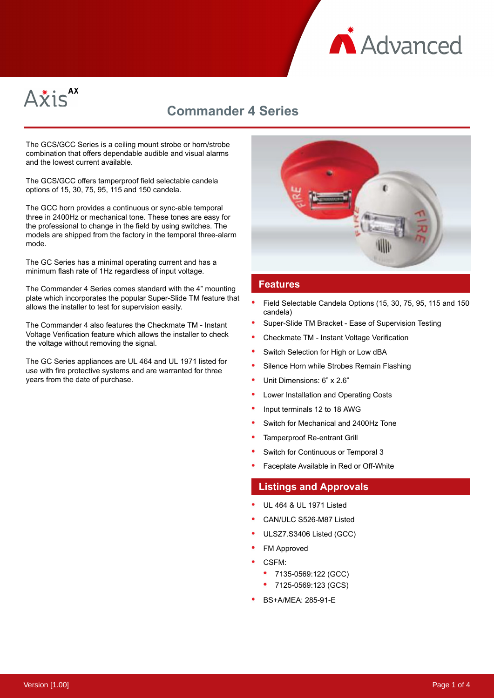



# **Commander 4 Series**

The GCS/GCC Series is a ceiling mount strobe or horn/strobe combination that offers dependable audible and visual alarms and the lowest current available.

The GCS/GCC offers tamperproof field selectable candela options of 15, 30, 75, 95, 115 and 150 candela.

The GCC horn provides a continuous or sync-able temporal three in 2400Hz or mechanical tone. These tones are easy for the professional to change in the field by using switches. The models are shipped from the factory in the temporal three-alarm mode.

The GC Series has a minimal operating current and has a minimum flash rate of 1Hz regardless of input voltage.

The Commander 4 Series comes standard with the 4" mounting plate which incorporates the popular Super-Slide TM feature that allows the installer to test for supervision easily.

The Commander 4 also features the Checkmate TM - Instant Voltage Verification feature which allows the installer to check the voltage without removing the signal.

The GC Series appliances are UL 464 and UL 1971 listed for use with fire protective systems and are warranted for three years from the date of purchase.



### **Features**

- Field Selectable Candela Options (15, 30, 75, 95, 115 and 150 candela)
- Super-Slide TM Bracket Ease of Supervision Testing
- Checkmate TM Instant Voltage Verification
- Switch Selection for High or Low dBA
- Silence Horn while Strobes Remain Flashing
- Unit Dimensions: 6" x 2.6"
- Lower Installation and Operating Costs
- Input terminals 12 to 18 AWG
- Switch for Mechanical and 2400Hz Tone
- Tamperproof Re-entrant Grill
- Switch for Continuous or Temporal 3
- Faceplate Available in Red or Off-White

### **Listings and Approvals**

- UL 464 & UL 1971 Listed
- CAN/ULC S526-M87 Listed
- ULSZ7.S3406 Listed (GCC)
- FM Approved
- CSFM:
	- 7135-0569:122 (GCC)
	- 7125-0569:123 (GCS)
- BS+A/MEA: 285-91-E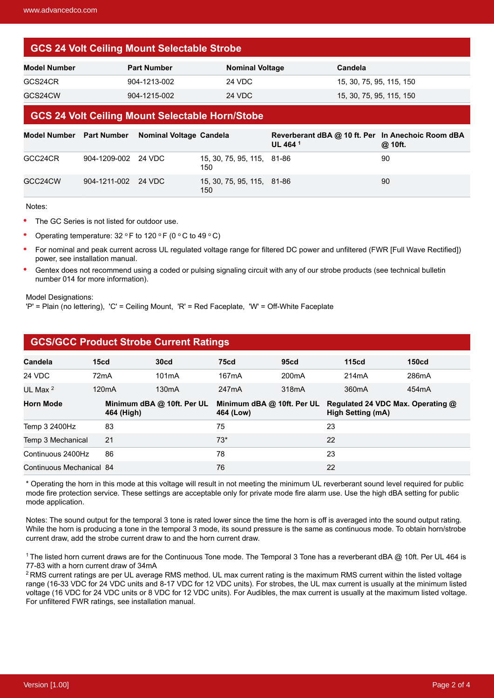# **GCS 24 Volt Ceiling Mount Selectable Strobe**

| Model Number | <b>Part Number</b> | <b>Nominal Voltage</b> | Candela                  |
|--------------|--------------------|------------------------|--------------------------|
| GCS24CR      | 904-1213-002       | 24 VDC                 | 15, 30, 75, 95, 115, 150 |
| GCS24CW      | 904-1215-002       | 24 VDC                 | 15, 30, 75, 95, 115, 150 |

### **GCS 24 Volt Ceiling Mount Selectable Horn/Stobe**

|         |                     | Model Number Part Number Nominal Voltage Candela |                                   | Reverberant dBA @ 10 ft. Per In Anechoic Room dBA<br>UL 464 <sup>1</sup> | @ 10ft. |
|---------|---------------------|--------------------------------------------------|-----------------------------------|--------------------------------------------------------------------------|---------|
| GCC24CR | 904-1209-002 24 VDC |                                                  | 15, 30, 75, 95, 115, 81-86<br>150 |                                                                          | 90      |
| GCC24CW | 904-1211-002 24 VDC |                                                  | 15, 30, 75, 95, 115, 81-86<br>150 |                                                                          | 90      |

Notes:

- The GC Series is not listed for outdoor use.
- Operating temperature:  $32 °F$  to  $120 °F$  (0 °C to  $49 °C$ )

**GCS/GCC Product Strobe Current Ratings**

- For nominal and peak current across UL regulated voltage range for filtered DC power and unfiltered (FWR [Full Wave Rectified]) power, see installation manual.
- Gentex does not recommend using a coded or pulsing signaling circuit with any of our strobe products (see technical bulletin number 014 for more information).

#### Model Designations:

'P' = Plain (no lettering), 'C' = Ceiling Mount, 'R' = Red Faceplate, 'W' = Off-White Faceplate

| <u>see, see Filoudot stroko edileiki kutiligo</u> |                                          |                    |                                         |                    |                                                               |                   |  |  |  |  |
|---------------------------------------------------|------------------------------------------|--------------------|-----------------------------------------|--------------------|---------------------------------------------------------------|-------------------|--|--|--|--|
| <b>Candela</b>                                    | 15cd                                     | 30 <sub>cd</sub>   | <b>75cd</b>                             | 95 <sub>cd</sub>   | <b>115cd</b>                                                  | 150 <sub>cd</sub> |  |  |  |  |
| 24 VDC                                            | 72 <sub>m</sub> A                        | 101 <sub>m</sub> A | 167 <sub>m</sub> A                      | 200 <sub>m</sub> A | 214mA                                                         | 286mA             |  |  |  |  |
| UL Max $2$                                        | 120 <sub>m</sub> A                       | 130 <sub>m</sub> A | 247mA                                   | 318mA              | 360 <sub>m</sub> A                                            | 454mA             |  |  |  |  |
| <b>Horn Mode</b>                                  | Minimum dBA @ 10ft. Per UL<br>464 (High) |                    | Minimum dBA @ 10ft. Per UL<br>464 (Low) |                    | Regulated 24 VDC Max. Operating @<br><b>High Setting (mA)</b> |                   |  |  |  |  |
| Temp 3 2400Hz                                     | 83                                       |                    | 75                                      |                    | 23                                                            |                   |  |  |  |  |
| 21<br>Temp 3 Mechanical                           |                                          | $73*$              |                                         | 22                 |                                                               |                   |  |  |  |  |
| Continuous 2400Hz                                 | 86                                       |                    | 78                                      |                    | 23                                                            |                   |  |  |  |  |
| Continuous Mechanical 84                          |                                          | 76                 |                                         | 22                 |                                                               |                   |  |  |  |  |

#### \* Operating the horn in this mode at this voltage will result in not meeting the minimum UL reverberant sound level required for public mode fire protection service. These settings are acceptable only for private mode fire alarm use. Use the high dBA setting for public mode application.

Notes: The sound output for the temporal 3 tone is rated lower since the time the horn is off is averaged into the sound output rating. While the horn is producing a tone in the temporal 3 mode, its sound pressure is the same as continuous mode. To obtain horn/strobe current draw, add the strobe current draw to and the horn current draw.

<sup>1</sup> The listed horn current draws are for the Continuous Tone mode. The Temporal 3 Tone has a reverberant dBA @ 10ft. Per UL 464 is 77-83 with a horn current draw of 34mA

<sup>2</sup> RMS current ratings are per UL average RMS method. UL max current rating is the maximum RMS current within the listed voltage range (16-33 VDC for 24 VDC units and 8-17 VDC for 12 VDC units). For strobes, the UL max current is usually at the minimum listed voltage (16 VDC for 24 VDC units or 8 VDC for 12 VDC units). For Audibles, the max current is usually at the maximum listed voltage. For unfiltered FWR ratings, see installation manual.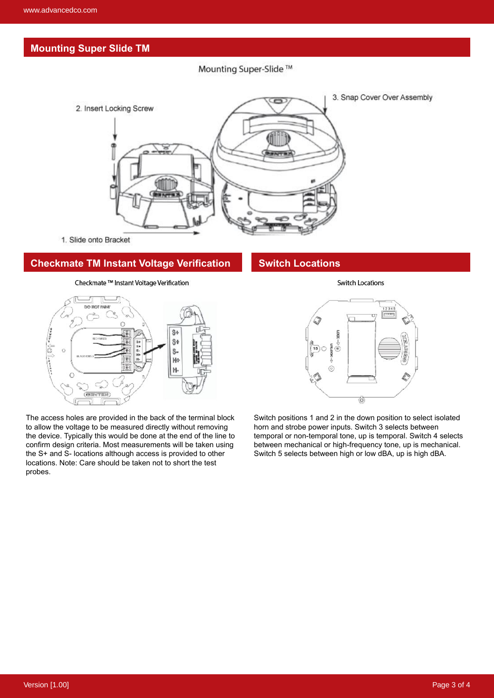# **Mounting Super Slide TM**

Mounting Super-Slide ™



1. Slide onto Bracket

## **Checkmate TM Instant Voltage Verification**

Checkmate ™ Instant Voltage Verification



The access holes are provided in the back of the terminal block to allow the voltage to be measured directly without removing the device. Typically this would be done at the end of the line to confirm design criteria. Most measurements will be taken using the S+ and S- locations although access is provided to other locations. Note: Care should be taken not to short the test probes.

# **Switch Locations**

 $1234$ **RIKIDER**  $\widehat{6}$ Ò

**Switch Locations** 

Switch positions 1 and 2 in the down position to select isolated horn and strobe power inputs. Switch 3 selects between temporal or non-temporal tone, up is temporal. Switch 4 selects between mechanical or high-frequency tone, up is mechanical. Switch 5 selects between high or low dBA, up is high dBA.